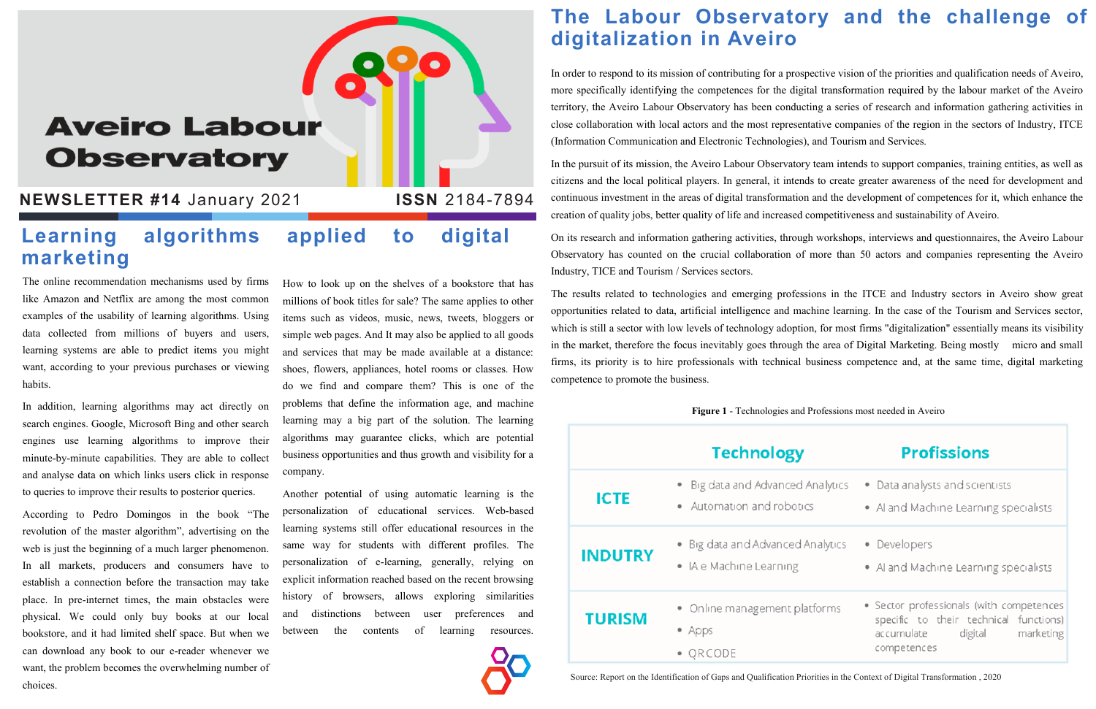The online recommendation mechanisms used by firms like Amazon and Netflix are among the most common examples of the usability of learning algorithms. Using data collected from millions of buyers and users, learning systems are able to predict items you might want, according to your previous purchases or viewing habits.

In addition, learning algorithms may act directly on search engines. Google, Microsoft Bing and other search engines use learning algorithms to improve their minute-by-minute capabilities. They are able to collect and analyse data on which links users click in response to queries to improve their results to posterior queries.

According to Pedro Domingos in the book "The revolution of the master algorithm", advertising on the web is just the beginning of a much larger phenomenon. In all markets, producers and consumers have to establish a connection before the transaction may take place. In pre-internet times, the main obstacles were physical. We could only buy books at our local bookstore, and it had limited shelf space. But when we can download any book to our e-reader whenever we want, the problem becomes the overwhelming number of choices.

How to look up on the shelves of a bookstore that has millions of book titles for sale? The same applies to other items such as videos, music, news, tweets, bloggers or simple web pages. And It may also be applied to all goods and services that may be made available at a distance: shoes, flowers, appliances, hotel rooms or classes. How do we find and compare them? This is one of the problems that define the information age, and machine learning may a big part of the solution. The learning algorithms may guarantee clicks, which are potential business opportunities and thus growth and visibility for a company.

Another potential of using automatic learning is the personalization of educational services. Web-based learning systems still offer educational resources in the same way for students with different profiles. The personalization of e-learning, generally, relying on explicit information reached based on the recent browsing history of browsers, allows exploring similarities and distinctions between user preferences and between the contents of learning resources.



### **The Labour Observatory and the challenge of digitalization in Aveiro**

In order to respond to its mission of contributing for a prospective vision of the priorities and qualification needs of Aveiro, more specifically identifying the competences for the digital transformation required by the labour market of the Aveiro territory, the Aveiro Labour Observatory has been conducting a series of research and information gathering activities in close collaboration with local actors and the most representative companies of the region in the sectors of Industry, ITCE (Information Communication and Electronic Technologies), and Tourism and Services.

In the pursuit of its mission, the Aveiro Labour Observatory team intends to support companies, training entities, as well as citizens and the local political players. In general, it intends to create greater awareness of the need for development and continuous investment in the areas of digital transformation and the development of competences for it, which enhance the creation of quality jobs, better quality of life and increased competitiveness and sustainability of Aveiro.

On its research and information gathering activities, through workshops, interviews and questionnaires, the Aveiro Labour Observatory has counted on the crucial collaboration of more than 50 actors and companies representing the Aveiro Industry, TICE and Tourism / Services sectors.

The results related to technologies and emerging professions in the ITCE and Industry sectors in Aveiro show great opportunities related to data, artificial intelligence and machine learning. In the case of the Tourism and Services sector, which is still a sector with low levels of technology adoption, for most firms "digitalization" essentially means its visibility in the market, therefore the focus inevitably goes through the area of Digital Marketing. Being mostly micro and small firms, its priority is to hire professionals with technical business competence and, at the same time, digital marketing competence to promote the business.

#### **Learning algorithms applied to digital marketing**

# **Aveiro Labour Observatory**

#### **NEWSLETTER #14** January 2021 **ISSN** 2184-7894

**Figure 1** - Technologies and Professions most needed in Aveiro

|                | <b>Technology</b>                                              | <b>Profissions</b>                                                                                                                      |
|----------------|----------------------------------------------------------------|-----------------------------------------------------------------------------------------------------------------------------------------|
| <b>ICTE</b>    | · Big data and Advanced Analytics<br>• Automation and robotics | • Data analysts and scientists<br>• Al and Machine Learning specialists                                                                 |
| <b>INDUTRY</b> | • Big data and Advanced Analytics<br>• IA e Machine Learning   | • Developers<br>• Al and Machine Learning specialists                                                                                   |
| <b>TURISM</b>  | • Online management platforms<br>Apps<br>$\bullet$ QRCODE      | • Sector professionals (with competences<br>specific to their technical functions)<br>accumulate<br>marketing<br>digital<br>competences |

Source: Report on the Identification of Gaps and Qualification Priorities in the Context of Digital Transformation , 2020